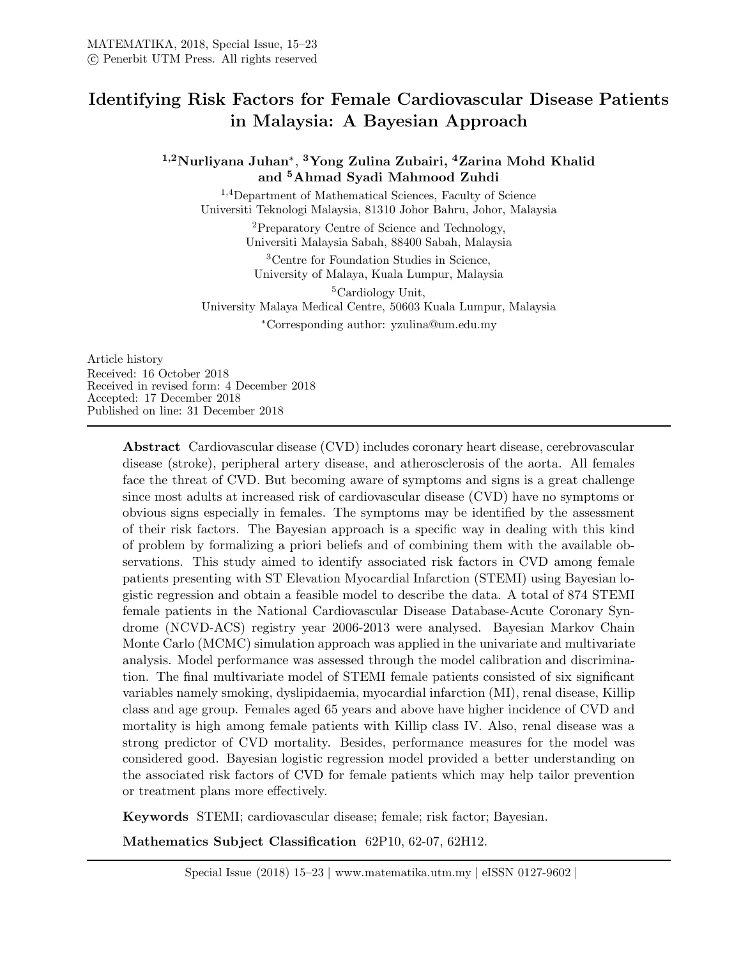# Identifying Risk Factors for Female Cardiovascular Disease Patients in Malaysia: A Bayesian Approach

# <sup>1,2</sup>Nurliyana Juhan\*, <sup>3</sup>Yong Zulina Zubairi, <sup>4</sup>Zarina Mohd Khalid and <sup>5</sup>Ahmad Syadi Mahmood Zuhdi

<sup>1</sup>,4Department of Mathematical Sciences, Faculty of Science Universiti Teknologi Malaysia, 81310 Johor Bahru, Johor, Malaysia

> <sup>2</sup>Preparatory Centre of Science and Technology, Universiti Malaysia Sabah, 88400 Sabah, Malaysia

<sup>3</sup>Centre for Foundation Studies in Science, University of Malaya, Kuala Lumpur, Malaysia

<sup>5</sup>Cardiology Unit, University Malaya Medical Centre, 50603 Kuala Lumpur, Malaysia <sup>∗</sup>Corresponding author: yzulina@um.edu.my

Article history Received: 16 October 2018 Received in revised form: 4 December 2018 Accepted: 17 December 2018 Published on line: 31 December 2018

> Abstract Cardiovascular disease (CVD) includes coronary heart disease, cerebrovascular disease (stroke), peripheral artery disease, and atherosclerosis of the aorta. All females face the threat of CVD. But becoming aware of symptoms and signs is a great challenge since most adults at increased risk of cardiovascular disease (CVD) have no symptoms or obvious signs especially in females. The symptoms may be identified by the assessment of their risk factors. The Bayesian approach is a specific way in dealing with this kind of problem by formalizing a priori beliefs and of combining them with the available observations. This study aimed to identify associated risk factors in CVD among female patients presenting with ST Elevation Myocardial Infarction (STEMI) using Bayesian logistic regression and obtain a feasible model to describe the data. A total of 874 STEMI female patients in the National Cardiovascular Disease Database-Acute Coronary Syndrome (NCVD-ACS) registry year 2006-2013 were analysed. Bayesian Markov Chain Monte Carlo (MCMC) simulation approach was applied in the univariate and multivariate analysis. Model performance was assessed through the model calibration and discrimination. The final multivariate model of STEMI female patients consisted of six significant variables namely smoking, dyslipidaemia, myocardial infarction (MI), renal disease, Killip class and age group. Females aged 65 years and above have higher incidence of CVD and mortality is high among female patients with Killip class IV. Also, renal disease was a strong predictor of CVD mortality. Besides, performance measures for the model was considered good. Bayesian logistic regression model provided a better understanding on the associated risk factors of CVD for female patients which may help tailor prevention or treatment plans more effectively.

Keywords STEMI; cardiovascular disease; female; risk factor; Bayesian.

Mathematics Subject Classification 62P10, 62-07, 62H12.

Special Issue (2018) 15–23 | www.matematika.utm.my | eISSN 0127-9602 |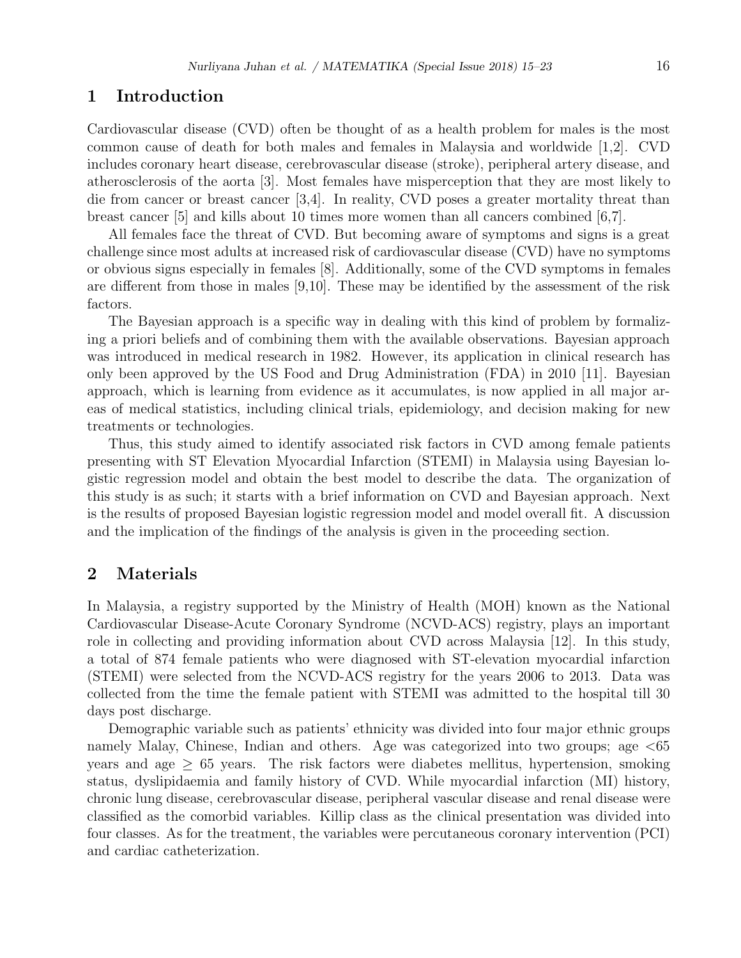#### 1 Introduction

Cardiovascular disease (CVD) often be thought of as a health problem for males is the most common cause of death for both males and females in Malaysia and worldwide [1,2]. CVD includes coronary heart disease, cerebrovascular disease (stroke), peripheral artery disease, and atherosclerosis of the aorta [3]. Most females have misperception that they are most likely to die from cancer or breast cancer [3,4]. In reality, CVD poses a greater mortality threat than breast cancer [5] and kills about 10 times more women than all cancers combined [6,7].

All females face the threat of CVD. But becoming aware of symptoms and signs is a great challenge since most adults at increased risk of cardiovascular disease (CVD) have no symptoms or obvious signs especially in females [8]. Additionally, some of the CVD symptoms in females are different from those in males [9,10]. These may be identified by the assessment of the risk factors.

The Bayesian approach is a specific way in dealing with this kind of problem by formalizing a priori beliefs and of combining them with the available observations. Bayesian approach was introduced in medical research in 1982. However, its application in clinical research has only been approved by the US Food and Drug Administration (FDA) in 2010 [11]. Bayesian approach, which is learning from evidence as it accumulates, is now applied in all major areas of medical statistics, including clinical trials, epidemiology, and decision making for new treatments or technologies.

Thus, this study aimed to identify associated risk factors in CVD among female patients presenting with ST Elevation Myocardial Infarction (STEMI) in Malaysia using Bayesian logistic regression model and obtain the best model to describe the data. The organization of this study is as such; it starts with a brief information on CVD and Bayesian approach. Next is the results of proposed Bayesian logistic regression model and model overall fit. A discussion and the implication of the findings of the analysis is given in the proceeding section.

# 2 Materials

In Malaysia, a registry supported by the Ministry of Health (MOH) known as the National Cardiovascular Disease-Acute Coronary Syndrome (NCVD-ACS) registry, plays an important role in collecting and providing information about CVD across Malaysia [12]. In this study, a total of 874 female patients who were diagnosed with ST-elevation myocardial infarction (STEMI) were selected from the NCVD-ACS registry for the years 2006 to 2013. Data was collected from the time the female patient with STEMI was admitted to the hospital till 30 days post discharge.

Demographic variable such as patients' ethnicity was divided into four major ethnic groups namely Malay, Chinese, Indian and others. Age was categorized into two groups; age <65 years and age  $\geq 65$  years. The risk factors were diabetes mellitus, hypertension, smoking status, dyslipidaemia and family history of CVD. While myocardial infarction (MI) history, chronic lung disease, cerebrovascular disease, peripheral vascular disease and renal disease were classified as the comorbid variables. Killip class as the clinical presentation was divided into four classes. As for the treatment, the variables were percutaneous coronary intervention (PCI) and cardiac catheterization.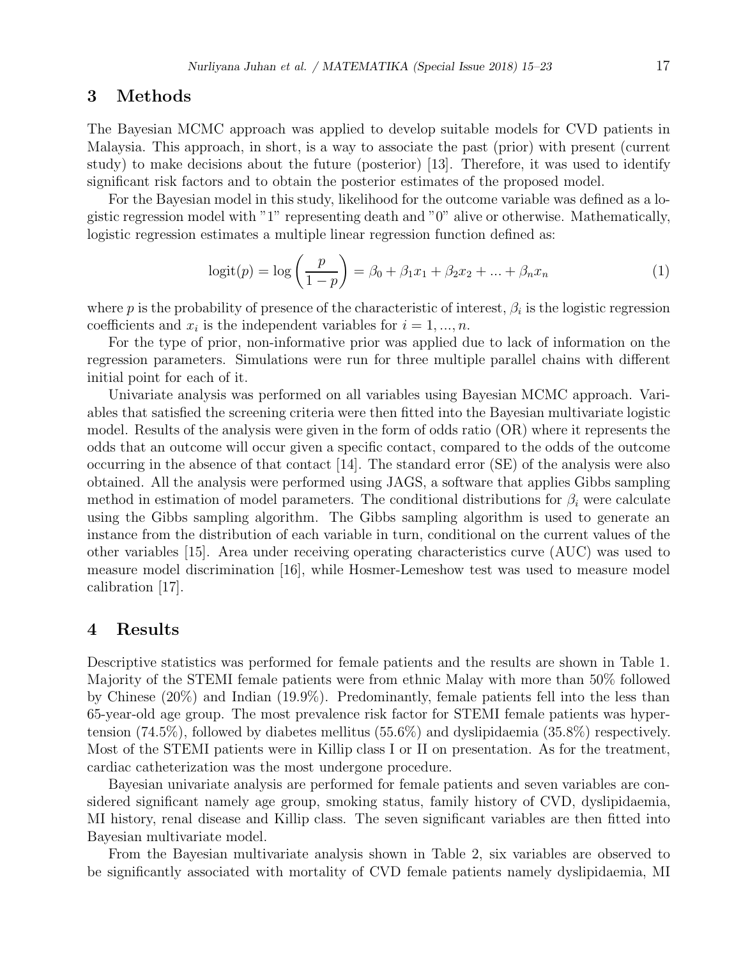#### 3 Methods

The Bayesian MCMC approach was applied to develop suitable models for CVD patients in Malaysia. This approach, in short, is a way to associate the past (prior) with present (current study) to make decisions about the future (posterior) [13]. Therefore, it was used to identify significant risk factors and to obtain the posterior estimates of the proposed model.

For the Bayesian model in this study, likelihood for the outcome variable was defined as a logistic regression model with "1" representing death and "0" alive or otherwise. Mathematically, logistic regression estimates a multiple linear regression function defined as:

$$
logit(p) = log\left(\frac{p}{1-p}\right) = \beta_0 + \beta_1 x_1 + \beta_2 x_2 + ... + \beta_n x_n
$$
 (1)

where p is the probability of presence of the characteristic of interest,  $\beta_i$  is the logistic regression coefficients and  $x_i$  is the independent variables for  $i = 1, ..., n$ .

For the type of prior, non-informative prior was applied due to lack of information on the regression parameters. Simulations were run for three multiple parallel chains with different initial point for each of it.

Univariate analysis was performed on all variables using Bayesian MCMC approach. Variables that satisfied the screening criteria were then fitted into the Bayesian multivariate logistic model. Results of the analysis were given in the form of odds ratio (OR) where it represents the odds that an outcome will occur given a specific contact, compared to the odds of the outcome occurring in the absence of that contact [14]. The standard error (SE) of the analysis were also obtained. All the analysis were performed using JAGS, a software that applies Gibbs sampling method in estimation of model parameters. The conditional distributions for  $\beta_i$  were calculate using the Gibbs sampling algorithm. The Gibbs sampling algorithm is used to generate an instance from the distribution of each variable in turn, conditional on the current values of the other variables [15]. Area under receiving operating characteristics curve (AUC) was used to measure model discrimination [16], while Hosmer-Lemeshow test was used to measure model calibration [17].

#### 4 Results

Descriptive statistics was performed for female patients and the results are shown in Table 1. Majority of the STEMI female patients were from ethnic Malay with more than 50% followed by Chinese (20%) and Indian (19.9%). Predominantly, female patients fell into the less than 65-year-old age group. The most prevalence risk factor for STEMI female patients was hypertension (74.5%), followed by diabetes mellitus (55.6%) and dyslipidaemia (35.8%) respectively. Most of the STEMI patients were in Killip class I or II on presentation. As for the treatment, cardiac catheterization was the most undergone procedure.

Bayesian univariate analysis are performed for female patients and seven variables are considered significant namely age group, smoking status, family history of CVD, dyslipidaemia, MI history, renal disease and Killip class. The seven significant variables are then fitted into Bayesian multivariate model.

From the Bayesian multivariate analysis shown in Table 2, six variables are observed to be significantly associated with mortality of CVD female patients namely dyslipidaemia, MI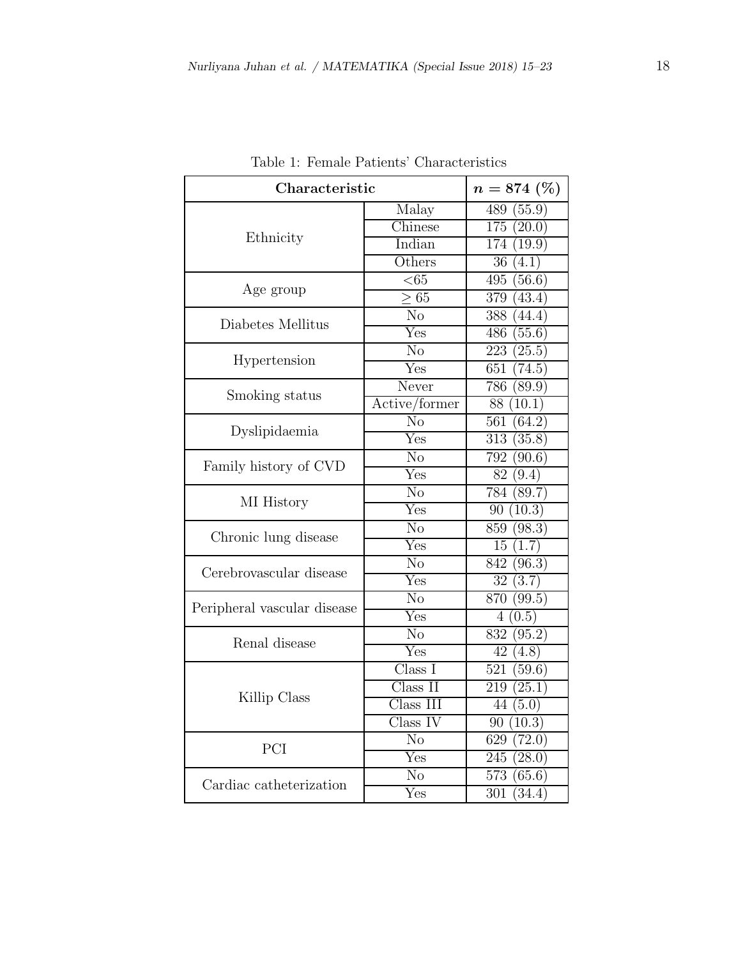| Characteristic              | $n=874~(\%)$                  |                            |
|-----------------------------|-------------------------------|----------------------------|
|                             | Malay                         | 489<br>(55.9)              |
| Ethnicity                   | Chinese                       | 175<br>(20.0)              |
|                             | Indian                        | $\overline{17}4(19.9)$     |
|                             | Others                        | $\overline{36}$ (4.1)      |
| Age group                   | < 65                          | 495<br>(56.6)              |
|                             | $\overline{>65}$              | 379<br>(43.4)              |
| Diabetes Mellitus           | N <sub>o</sub>                | 388<br>(44.4)              |
|                             | Yes                           | 486<br>(55.6)              |
| Hypertension                | No                            | 223(25.5)                  |
|                             | Yes                           | 651<br>(74.5)              |
| Smoking status              | Never                         | $\overline{(89.9)}$<br>786 |
|                             | Active/former                 | 88 (10.1)                  |
| Dyslipidaemia               | $\overline{\text{No}}$        | 561<br>(64.2)              |
|                             | $\overline{\mathrm{Yes}}$     | $\overline{313}$<br>(35.8) |
|                             | $\overline{\text{No}}$        | 792<br>(90.6)              |
| Family history of CVD       | Yes                           | 82 (9.4)                   |
|                             | $\overline{\text{No}}$        | $\overline{78}4(89.7)$     |
| MI History                  | Yes                           | 90(10.3)                   |
| Chronic lung disease        | $\overline{\text{No}}$        | 859<br>(98.3)              |
|                             | $\overline{\mathrm{Yes}}$     | 15<br>(1.7)                |
| Cerebrovascular disease     | N <sub>o</sub>                | (96.3)<br>842              |
|                             | $\overline{\mathrm{Yes}}$     | $\overline{32}$<br>(3.7)   |
| Peripheral vascular disease | N <sub>o</sub>                | 870 (99.5)                 |
|                             | $\overline{\mathrm{Yes}}$     | (0.5)<br>$\overline{4}$    |
| Renal disease               | $\overline{\text{No}}$        | $\overline{832} (95.2)$    |
|                             | Yes                           | 42<br>$\overline{(4.8)}$   |
|                             | Class I                       | 521<br>(59.6)              |
| Killip Class                | Class II                      | 219<br>(25.1)              |
|                             | $\overline{\text{Class}}$ III | 44<br>(5.0)                |
|                             | Class IV                      | (10.3)<br>90               |
| PCI                         | No                            | 629<br>(72.0)              |
|                             | Yes                           | 245(28.0)                  |
| Cardiac catheterization     | N <sub>o</sub>                | 573<br>(65.6)              |
|                             | $\overline{\mathrm{Yes}}$     | 301<br>(34.4)              |

Table 1: Female Patients' Characteristics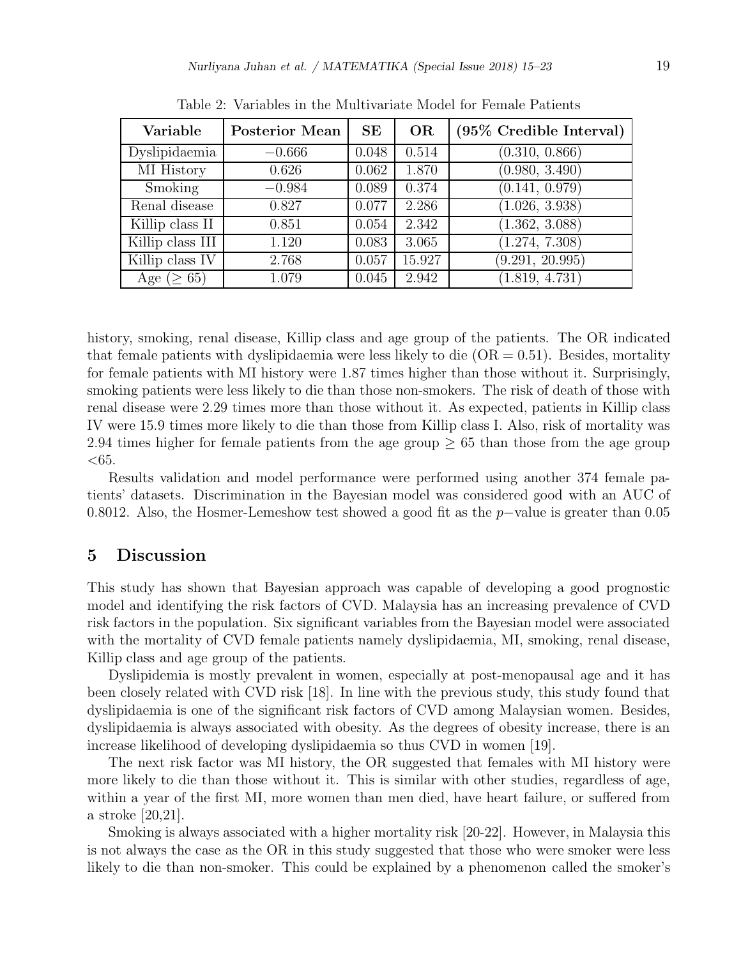| Variable          | <b>Posterior Mean</b> | SE    | <b>OR</b> | $(95\%$ Credible Interval) |
|-------------------|-----------------------|-------|-----------|----------------------------|
| Dyslipidaemia     | $-0.666$              | 0.048 | 0.514     | (0.310, 0.866)             |
| <b>MI</b> History | 0.626                 | 0.062 | 1.870     | (0.980, 3.490)             |
| Smoking           | $-0.984$              | 0.089 | 0.374     | (0.141, 0.979)             |
| Renal disease     | 0.827                 | 0.077 | 2.286     | (1.026, 3.938)             |
| Killip class II   | 0.851                 | 0.054 | 2.342     | (1.362, 3.088)             |
| Killip class III  | 1.120                 | 0.083 | 3.065     | (1.274, 7.308)             |
| Killip class IV   | 2.768                 | 0.057 | 15.927    | (9.291, 20.995)            |
| Age ( $\geq 65$ ) | 1.079                 | 0.045 | 2.942     | (1.819, 4.731)             |

Table 2: Variables in the Multivariate Model for Female Patients

history, smoking, renal disease, Killip class and age group of the patients. The OR indicated that female patients with dyslipidaemia were less likely to die  $(OR = 0.51)$ . Besides, mortality for female patients with MI history were 1.87 times higher than those without it. Surprisingly, smoking patients were less likely to die than those non-smokers. The risk of death of those with renal disease were 2.29 times more than those without it. As expected, patients in Killip class IV were 15.9 times more likely to die than those from Killip class I. Also, risk of mortality was 2.94 times higher for female patients from the age group  $\geq$  65 than those from the age group  $<\!\!65.$ 

Results validation and model performance were performed using another 374 female patients' datasets. Discrimination in the Bayesian model was considered good with an AUC of 0.8012. Also, the Hosmer-Lemeshow test showed a good fit as the p−value is greater than 0.05

### 5 Discussion

This study has shown that Bayesian approach was capable of developing a good prognostic model and identifying the risk factors of CVD. Malaysia has an increasing prevalence of CVD risk factors in the population. Six significant variables from the Bayesian model were associated with the mortality of CVD female patients namely dyslipidaemia, MI, smoking, renal disease, Killip class and age group of the patients.

Dyslipidemia is mostly prevalent in women, especially at post-menopausal age and it has been closely related with CVD risk [18]. In line with the previous study, this study found that dyslipidaemia is one of the significant risk factors of CVD among Malaysian women. Besides, dyslipidaemia is always associated with obesity. As the degrees of obesity increase, there is an increase likelihood of developing dyslipidaemia so thus CVD in women [19].

The next risk factor was MI history, the OR suggested that females with MI history were more likely to die than those without it. This is similar with other studies, regardless of age, within a year of the first MI, more women than men died, have heart failure, or suffered from a stroke [20,21].

Smoking is always associated with a higher mortality risk [20-22]. However, in Malaysia this is not always the case as the OR in this study suggested that those who were smoker were less likely to die than non-smoker. This could be explained by a phenomenon called the smoker's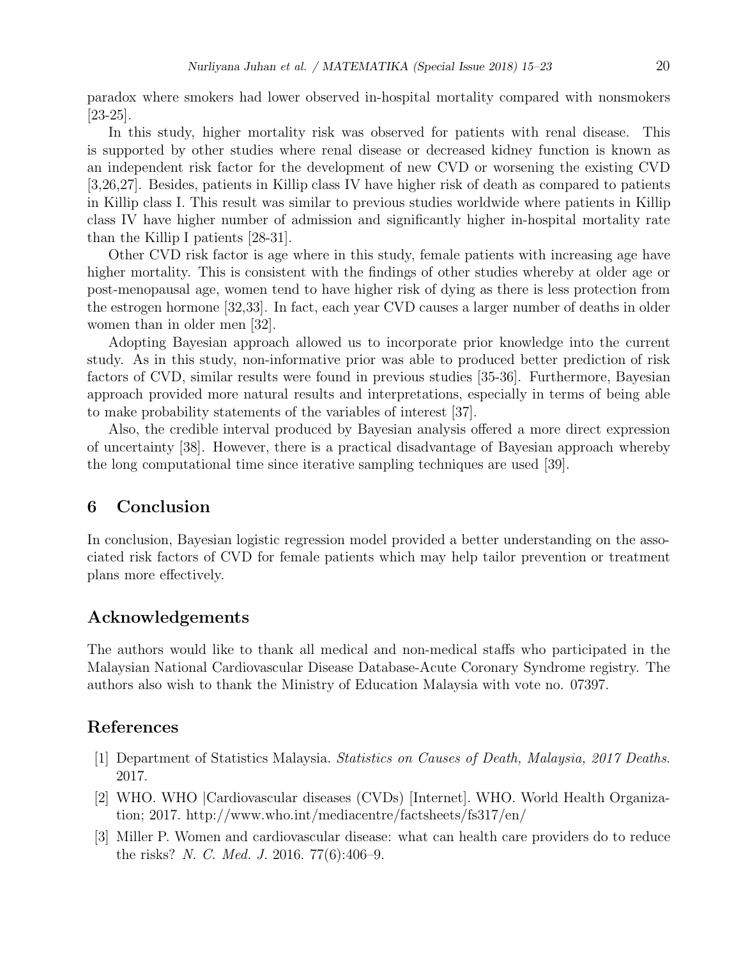paradox where smokers had lower observed in-hospital mortality compared with nonsmokers [23-25].

In this study, higher mortality risk was observed for patients with renal disease. This is supported by other studies where renal disease or decreased kidney function is known as an independent risk factor for the development of new CVD or worsening the existing CVD [3,26,27]. Besides, patients in Killip class IV have higher risk of death as compared to patients in Killip class I. This result was similar to previous studies worldwide where patients in Killip class IV have higher number of admission and significantly higher in-hospital mortality rate than the Killip I patients [28-31].

Other CVD risk factor is age where in this study, female patients with increasing age have higher mortality. This is consistent with the findings of other studies whereby at older age or post-menopausal age, women tend to have higher risk of dying as there is less protection from the estrogen hormone [32,33]. In fact, each year CVD causes a larger number of deaths in older women than in older men [32].

Adopting Bayesian approach allowed us to incorporate prior knowledge into the current study. As in this study, non-informative prior was able to produced better prediction of risk factors of CVD, similar results were found in previous studies [35-36]. Furthermore, Bayesian approach provided more natural results and interpretations, especially in terms of being able to make probability statements of the variables of interest [37].

Also, the credible interval produced by Bayesian analysis offered a more direct expression of uncertainty [38]. However, there is a practical disadvantage of Bayesian approach whereby the long computational time since iterative sampling techniques are used [39].

## 6 Conclusion

In conclusion, Bayesian logistic regression model provided a better understanding on the associated risk factors of CVD for female patients which may help tailor prevention or treatment plans more effectively.

# Acknowledgements

The authors would like to thank all medical and non-medical staffs who participated in the Malaysian National Cardiovascular Disease Database-Acute Coronary Syndrome registry. The authors also wish to thank the Ministry of Education Malaysia with vote no. 07397.

# References

- [1] Department of Statistics Malaysia. Statistics on Causes of Death, Malaysia, 2017 Deaths. 2017.
- [2] WHO. WHO |Cardiovascular diseases (CVDs) [Internet]. WHO. World Health Organization; 2017. http://www.who.int/mediacentre/factsheets/fs317/en/
- [3] Miller P. Women and cardiovascular disease: what can health care providers do to reduce the risks? N. C. Med. J. 2016. 77(6):406–9.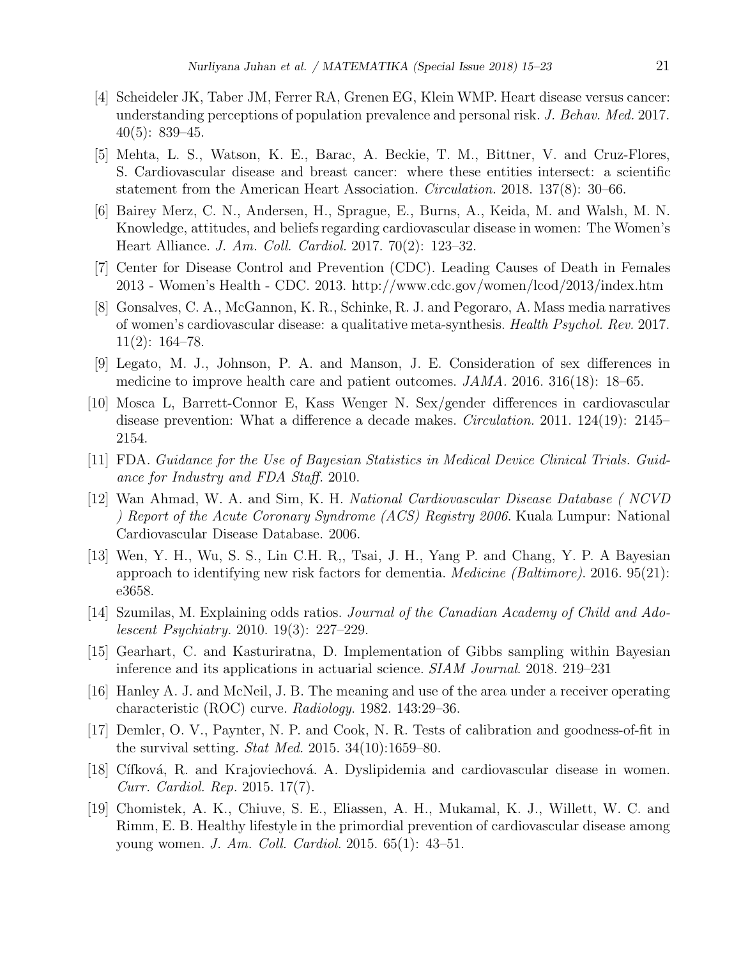- [4] Scheideler JK, Taber JM, Ferrer RA, Grenen EG, Klein WMP. Heart disease versus cancer: understanding perceptions of population prevalence and personal risk. J. Behav. Med. 2017.  $40(5): 839-45.$
- [5] Mehta, L. S., Watson, K. E., Barac, A. Beckie, T. M., Bittner, V. and Cruz-Flores, S. Cardiovascular disease and breast cancer: where these entities intersect: a scientific statement from the American Heart Association. Circulation. 2018. 137(8): 30–66.
- [6] Bairey Merz, C. N., Andersen, H., Sprague, E., Burns, A., Keida, M. and Walsh, M. N. Knowledge, attitudes, and beliefs regarding cardiovascular disease in women: The Women's Heart Alliance. J. Am. Coll. Cardiol. 2017. 70(2): 123–32.
- [7] Center for Disease Control and Prevention (CDC). Leading Causes of Death in Females 2013 - Women's Health - CDC. 2013. http://www.cdc.gov/women/lcod/2013/index.htm
- [8] Gonsalves, C. A., McGannon, K. R., Schinke, R. J. and Pegoraro, A. Mass media narratives of women's cardiovascular disease: a qualitative meta-synthesis. Health Psychol. Rev. 2017.  $11(2): 164-78.$
- [9] Legato, M. J., Johnson, P. A. and Manson, J. E. Consideration of sex differences in medicine to improve health care and patient outcomes. JAMA. 2016. 316(18): 18–65.
- [10] Mosca L, Barrett-Connor E, Kass Wenger N. Sex/gender differences in cardiovascular disease prevention: What a difference a decade makes. *Circulation.* 2011. 124(19): 2145– 2154.
- [11] FDA. Guidance for the Use of Bayesian Statistics in Medical Device Clinical Trials. Guidance for Industry and FDA Staff. 2010.
- [12] Wan Ahmad, W. A. and Sim, K. H. National Cardiovascular Disease Database ( NCVD ) Report of the Acute Coronary Syndrome (ACS) Registry 2006. Kuala Lumpur: National Cardiovascular Disease Database. 2006.
- [13] Wen, Y. H., Wu, S. S., Lin C.H. R,, Tsai, J. H., Yang P. and Chang, Y. P. A Bayesian approach to identifying new risk factors for dementia. Medicine (Baltimore). 2016. 95(21): e3658.
- [14] Szumilas, M. Explaining odds ratios. Journal of the Canadian Academy of Child and Adolescent Psychiatry. 2010. 19(3): 227–229.
- [15] Gearhart, C. and Kasturiratna, D. Implementation of Gibbs sampling within Bayesian inference and its applications in actuarial science. SIAM Journal. 2018. 219–231
- [16] Hanley A. J. and McNeil, J. B. The meaning and use of the area under a receiver operating characteristic (ROC) curve. Radiology. 1982. 143:29–36.
- [17] Demler, O. V., Paynter, N. P. and Cook, N. R. Tests of calibration and goodness-of-fit in the survival setting. *Stat Med.* 2015. 34(10):1659–80.
- [18] Cífková, R. and Krajoviechová. A. Dyslipidemia and cardiovascular disease in women. Curr. Cardiol. Rep. 2015. 17(7).
- [19] Chomistek, A. K., Chiuve, S. E., Eliassen, A. H., Mukamal, K. J., Willett, W. C. and Rimm, E. B. Healthy lifestyle in the primordial prevention of cardiovascular disease among young women. *J. Am. Coll. Cardiol.* 2015. 65(1): 43–51.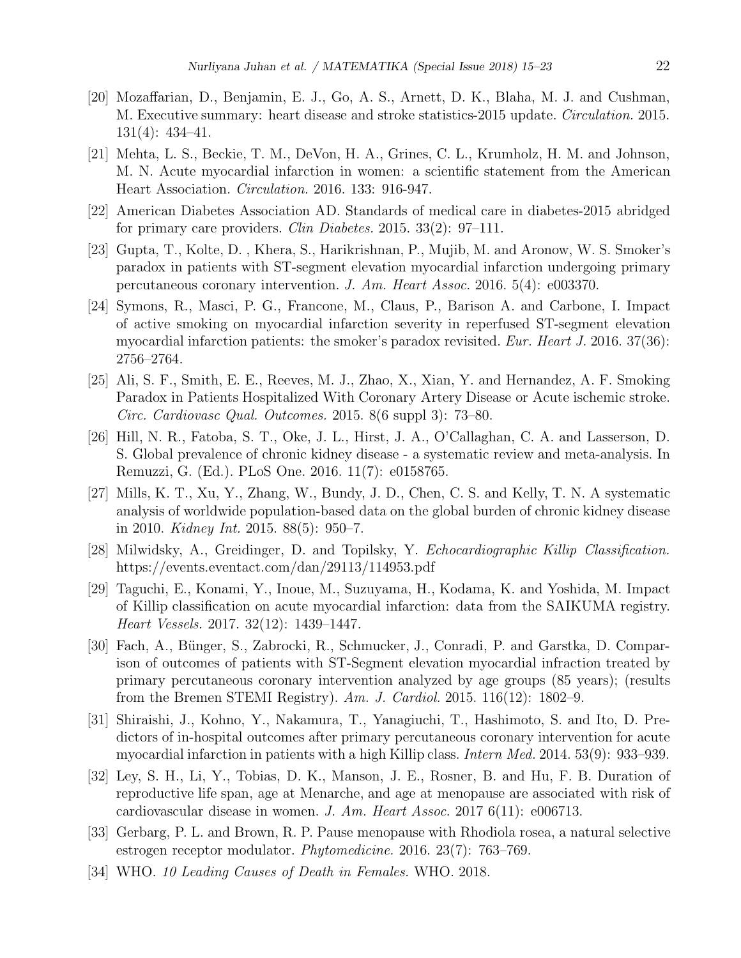- [20] Mozaffarian, D., Benjamin, E. J., Go, A. S., Arnett, D. K., Blaha, M. J. and Cushman, M. Executive summary: heart disease and stroke statistics-2015 update. Circulation. 2015. 131(4): 434–41.
- [21] Mehta, L. S., Beckie, T. M., DeVon, H. A., Grines, C. L., Krumholz, H. M. and Johnson, M. N. Acute myocardial infarction in women: a scientific statement from the American Heart Association. Circulation. 2016. 133: 916-947.
- [22] American Diabetes Association AD. Standards of medical care in diabetes-2015 abridged for primary care providers. *Clin Diabetes.* 2015. 33(2): 97–111.
- [23] Gupta, T., Kolte, D. , Khera, S., Harikrishnan, P., Mujib, M. and Aronow, W. S. Smoker's paradox in patients with ST-segment elevation myocardial infarction undergoing primary percutaneous coronary intervention. J. Am. Heart Assoc. 2016. 5(4): e003370.
- [24] Symons, R., Masci, P. G., Francone, M., Claus, P., Barison A. and Carbone, I. Impact of active smoking on myocardial infarction severity in reperfused ST-segment elevation myocardial infarction patients: the smoker's paradox revisited. Eur. Heart J. 2016. 37(36): 2756–2764.
- [25] Ali, S. F., Smith, E. E., Reeves, M. J., Zhao, X., Xian, Y. and Hernandez, A. F. Smoking Paradox in Patients Hospitalized With Coronary Artery Disease or Acute ischemic stroke. Circ. Cardiovasc Qual. Outcomes. 2015. 8(6 suppl 3): 73–80.
- [26] Hill, N. R., Fatoba, S. T., Oke, J. L., Hirst, J. A., O'Callaghan, C. A. and Lasserson, D. S. Global prevalence of chronic kidney disease - a systematic review and meta-analysis. In Remuzzi, G. (Ed.). PLoS One. 2016. 11(7): e0158765.
- [27] Mills, K. T., Xu, Y., Zhang, W., Bundy, J. D., Chen, C. S. and Kelly, T. N. A systematic analysis of worldwide population-based data on the global burden of chronic kidney disease in 2010. *Kidney Int.* 2015. 88(5): 950–7.
- [28] Milwidsky, A., Greidinger, D. and Topilsky, Y. Echocardiographic Killip Classification. https://events.eventact.com/dan/29113/114953.pdf
- [29] Taguchi, E., Konami, Y., Inoue, M., Suzuyama, H., Kodama, K. and Yoshida, M. Impact of Killip classification on acute myocardial infarction: data from the SAIKUMA registry. Heart Vessels. 2017. 32(12): 1439–1447.
- [30] Fach, A., Bünger, S., Zabrocki, R., Schmucker, J., Conradi, P. and Garstka, D. Comparison of outcomes of patients with ST-Segment elevation myocardial infraction treated by primary percutaneous coronary intervention analyzed by age groups (85 years); (results from the Bremen STEMI Registry). Am. J. Cardiol. 2015. 116(12): 1802–9.
- [31] Shiraishi, J., Kohno, Y., Nakamura, T., Yanagiuchi, T., Hashimoto, S. and Ito, D. Predictors of in-hospital outcomes after primary percutaneous coronary intervention for acute myocardial infarction in patients with a high Killip class. *Intern Med.* 2014. 53(9): 933–939.
- [32] Ley, S. H., Li, Y., Tobias, D. K., Manson, J. E., Rosner, B. and Hu, F. B. Duration of reproductive life span, age at Menarche, and age at menopause are associated with risk of cardiovascular disease in women. J. Am. Heart Assoc. 2017  $6(11)$ : e006713.
- [33] Gerbarg, P. L. and Brown, R. P. Pause menopause with Rhodiola rosea, a natural selective estrogen receptor modulator. Phytomedicine. 2016. 23(7): 763–769.
- [34] WHO. 10 Leading Causes of Death in Females. WHO. 2018.